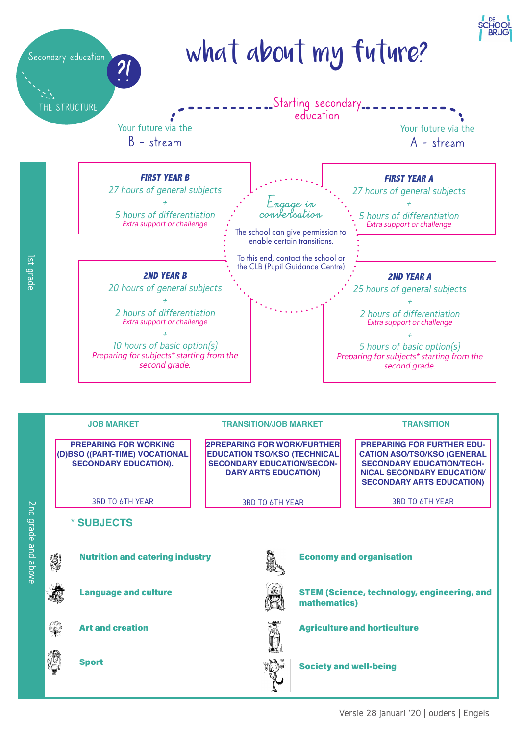



Versie 28 januari '20 | ouders | Engels